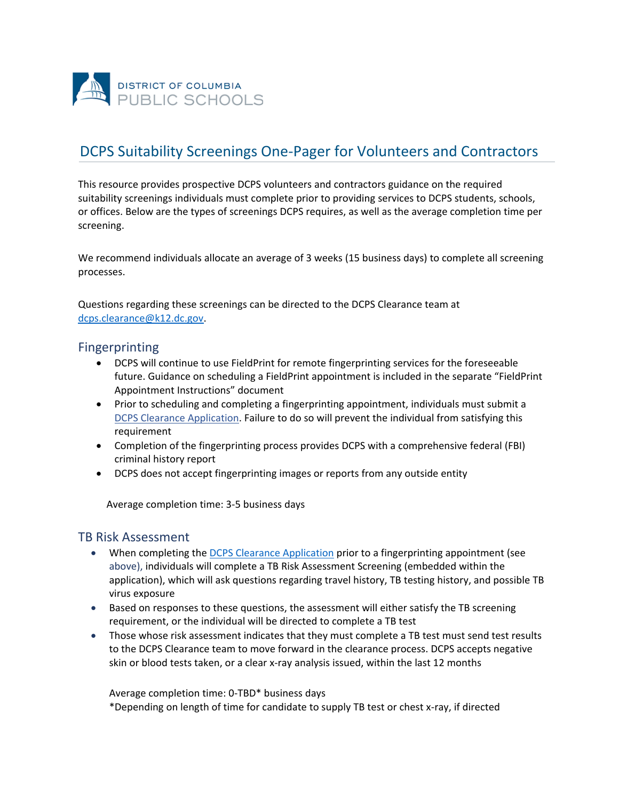

# DCPS Suitability Screenings One-Pager for Volunteers and Contractors

This resource provides prospective DCPS volunteers and contractors guidance on the required suitability screenings individuals must complete prior to providing services to DCPS students, schools, or offices. Below are the types of screenings DCPS requires, as well as the average completion time per screening.

We recommend individuals allocate an average of 3 weeks (15 business days) to complete all screening processes.

Questions regarding these screenings can be directed to the DCPS Clearance team at [dcps.clearance@k12.dc.gov.](mailto:dcps.clearance@k12.dc.gov)

#### Fingerprinting

- DCPS will continue to use FieldPrint for remote fingerprinting services for the foreseeable future. Guidance on scheduling a FieldPrint appointment is included in the separate "FieldPrint Appointment Instructions" document
- Prior to scheduling and completing a fingerprinting appointment, individuals must submit a [DCPS Clearance Application.](https://octo.quickbase.com/db/bg37a864v) Failure to do so will prevent the individual from satisfying this requirement
- Completion of the fingerprinting process provides DCPS with a comprehensive federal (FBI) criminal history report
- DCPS does not accept fingerprinting images or reports from any outside entity

Average completion time: 3-5 business days

#### TB Risk Assessment

- When completing the **[DCPS Clearance Application](https://octo.quickbase.com/db/bg37a864v)** prior to a fingerprinting appointment (see above), individuals will complete a TB Risk Assessment Screening (embedded within the application), which will ask questions regarding travel history, TB testing history, and possible TB virus exposure
- Based on responses to these questions, the assessment will either satisfy the TB screening requirement, or the individual will be directed to complete a TB test
- Those whose risk assessment indicates that they must complete a TB test must send test results to the DCPS Clearance team to move forward in the clearance process. DCPS accepts negative skin or blood tests taken, or a clear x-ray analysis issued, within the last 12 months

Average completion time: 0-TBD\* business days \*Depending on length of time for candidate to supply TB test or chest x-ray, if directed